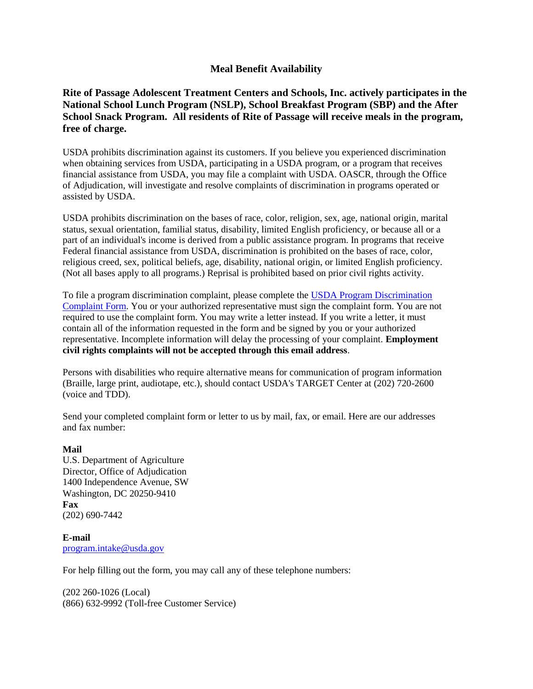## **Meal Benefit Availability**

## **Rite of Passage Adolescent Treatment Centers and Schools, Inc. actively participates in the National School Lunch Program (NSLP), School Breakfast Program (SBP) and the After School Snack Program. All residents of Rite of Passage will receive meals in the program, free of charge.**

USDA prohibits discrimination against its customers. If you believe you experienced discrimination when obtaining services from USDA, participating in a USDA program, or a program that receives financial assistance from USDA, you may file a complaint with USDA. OASCR, through the Office of Adjudication, will investigate and resolve complaints of discrimination in programs operated or assisted by USDA.

USDA prohibits discrimination on the bases of race, color, religion, sex, age, national origin, marital status, sexual orientation, familial status, disability, limited English proficiency, or because all or a part of an individual's income is derived from a public assistance program. In programs that receive Federal financial assistance from USDA, discrimination is prohibited on the bases of race, color, religious creed, sex, political beliefs, age, disability, national origin, or limited English proficiency. (Not all bases apply to all programs.) Reprisal is prohibited based on prior civil rights activity.

To file a program discrimination complaint, please complete the [USDA Program Discrimination](http://www.ocio.usda.gov/sites/default/files/docs/2012/Complain_combined_6_8_12.pdf)  [Complaint Form.](http://www.ocio.usda.gov/sites/default/files/docs/2012/Complain_combined_6_8_12.pdf) You or your authorized representative must sign the complaint form. You are not required to use the complaint form. You may write a letter instead. If you write a letter, it must contain all of the information requested in the form and be signed by you or your authorized representative. Incomplete information will delay the processing of your complaint. **Employment civil rights complaints will not be accepted through this email address**.

Persons with disabilities who require alternative means for communication of program information (Braille, large print, audiotape, etc.), should contact USDA's TARGET Center at (202) 720-2600 (voice and TDD).

Send your completed complaint form or letter to us by mail, fax, or email. Here are our addresses and fax number:

## **Mail**

U.S. Department of Agriculture Director, Office of Adjudication 1400 Independence Avenue, SW Washington, DC 20250-9410 **Fax** (202) 690-7442

**E-mail** [program.intake@usda.gov](mailto:program.intake@usda.gov)

For help filling out the form, you may call any of these telephone numbers:

(202 260-1026 (Local) (866) 632-9992 (Toll-free Customer Service)